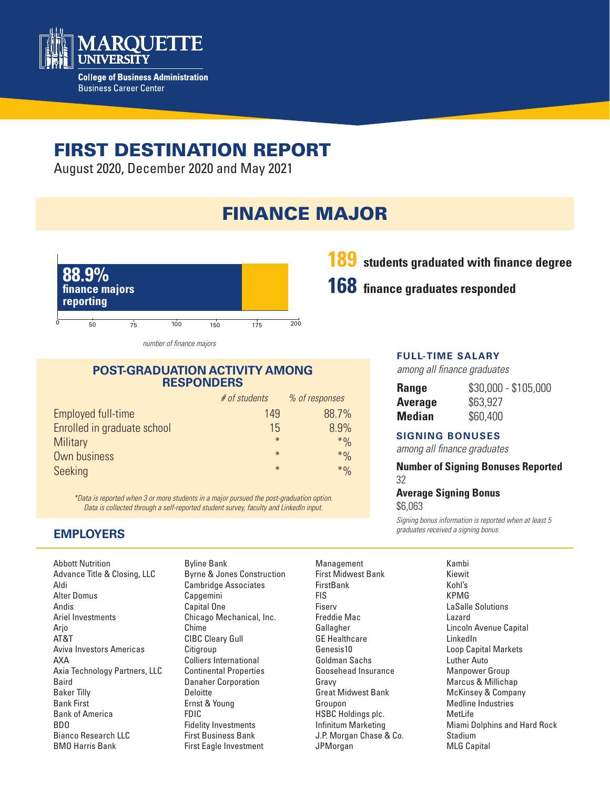

# FIRST DESTINATION REPORT

August 2020, December 2020 and May 2021

# FINANCE MAJOR



*number of finance majors*

#### **POST-GRADUATION ACTIVITY AMONG RESPONDERS**

|                             | # of students | % of responses |
|-----------------------------|---------------|----------------|
| Employed full-time          | 149           | 88.7%          |
| Enrolled in graduate school | 15            | 8.9%           |
| <b>Military</b>             | $*$           | $*9/0$         |
| Own business                | $*$           | $*9/0$         |
| Seeking                     | $\ast$        | $*9/0$         |

*\*Data is reported when 3 or more students in a major pursued the post-graduation option. Data is collected through a self-reported student survey, faculty and LinkedIn input.*

## **189 students graduated with finance degree**

# **168 finance graduates responded**

#### **FULL-TIME SALARY**

*among all finance graduates*

| <b>Range</b>   | \$30,000 - \$105,000 |
|----------------|----------------------|
| <b>Average</b> | \$63,927             |
| Median         | \$60,400             |

#### **SIGNING BONUSES**

*among all finance graduates*

**Number of Signing Bonuses Reported** 32

#### **Average Signing Bonus**  \$6,063

*Signing bonus information is reported when at least 5 graduates received a signing bonus.* 

### **EMPLOYERS**

Abbott Nutrition Advance Title & Closing, LLC Aldi Alter Domus Andis Ariel Investments Arjo AT&T Aviva Investors Americas AXA Axia Technology Partners, LLC Baird Baker Tilly Bank First Bank of America BDO Bianco Research LLC BMO Harris Bank

Byline Bank Byrne & Jones Construction Cambridge Associates Capgemini Capital One Chicago Mechanical, Inc. Chime CIBC Cleary Gull **Citigroup** Colliers International Continental Properties Danaher Corporation Deloitte Ernst & Young FDIC Fidelity Investments First Business Bank First Eagle Investment

- Management First Midwest Bank **FirstBank** FIS Fiserv Freddie Mac Gallagher GE Healthcare Genesis10 Goldman Sachs Goosehead Insurance Gravy Great Midwest Bank Groupon HSBC Holdings plc. Infinitum Marketing J.P. Morgan Chase & Co. JPMorgan
- Kambi Kiewit Kohl's KPMG LaSalle Solutions Lazard Lincoln Avenue Capital LinkedIn Loop Capital Markets Luther Auto Manpower Group Marcus & Millichap McKinsey & Company Medline Industries MetLife Miami Dolphins and Hard Rock Stadium MLG Capital